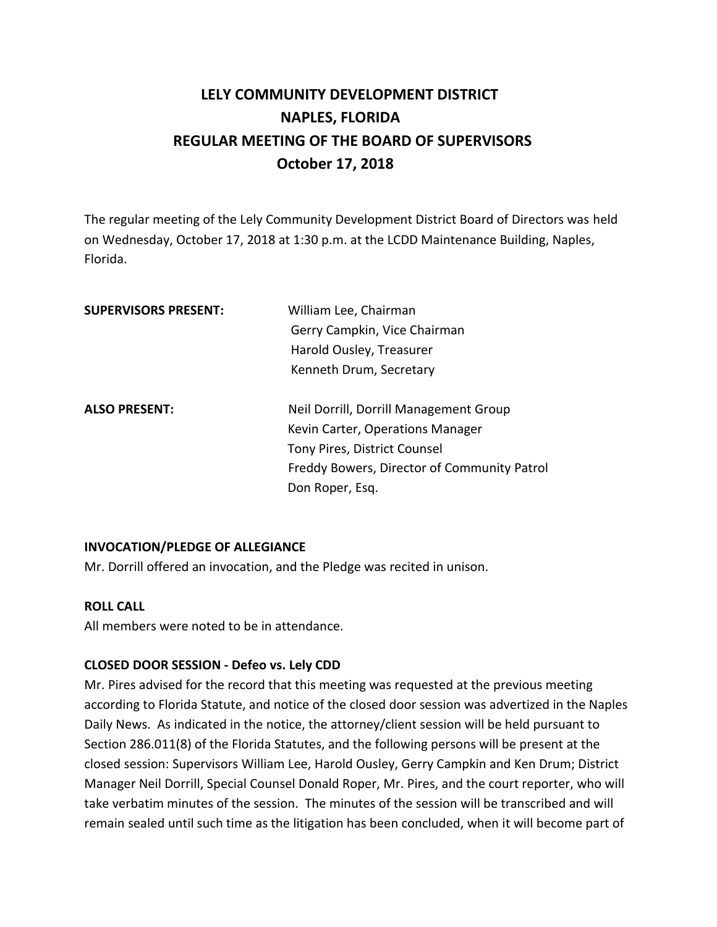# **LELY COMMUNITY DEVELOPMENT DISTRICT NAPLES, FLORIDA REGULAR MEETING OF THE BOARD OF SUPERVISORS October 17, 2018**

The regular meeting of the Lely Community Development District Board of Directors was held on Wednesday, October 17, 2018 at 1:30 p.m. at the LCDD Maintenance Building, Naples, Florida.

| <b>SUPERVISORS PRESENT:</b> | William Lee, Chairman                       |
|-----------------------------|---------------------------------------------|
|                             | Gerry Campkin, Vice Chairman                |
|                             | Harold Ousley, Treasurer                    |
|                             | Kenneth Drum, Secretary                     |
| <b>ALSO PRESENT:</b>        | Neil Dorrill, Dorrill Management Group      |
|                             | Kevin Carter, Operations Manager            |
|                             | Tony Pires, District Counsel                |
|                             | Freddy Bowers, Director of Community Patrol |
|                             | Don Roper, Esq.                             |
|                             |                                             |

### **INVOCATION/PLEDGE OF ALLEGIANCE**

Mr. Dorrill offered an invocation, and the Pledge was recited in unison.

#### **ROLL CALL**

All members were noted to be in attendance.

#### **CLOSED DOOR SESSION - Defeo vs. Lely CDD**

Mr. Pires advised for the record that this meeting was requested at the previous meeting according to Florida Statute, and notice of the closed door session was advertized in the Naples Daily News. As indicated in the notice, the attorney/client session will be held pursuant to Section 286.011(8) of the Florida Statutes, and the following persons will be present at the closed session: Supervisors William Lee, Harold Ousley, Gerry Campkin and Ken Drum; District Manager Neil Dorrill, Special Counsel Donald Roper, Mr. Pires, and the court reporter, who will take verbatim minutes of the session. The minutes of the session will be transcribed and will remain sealed until such time as the litigation has been concluded, when it will become part of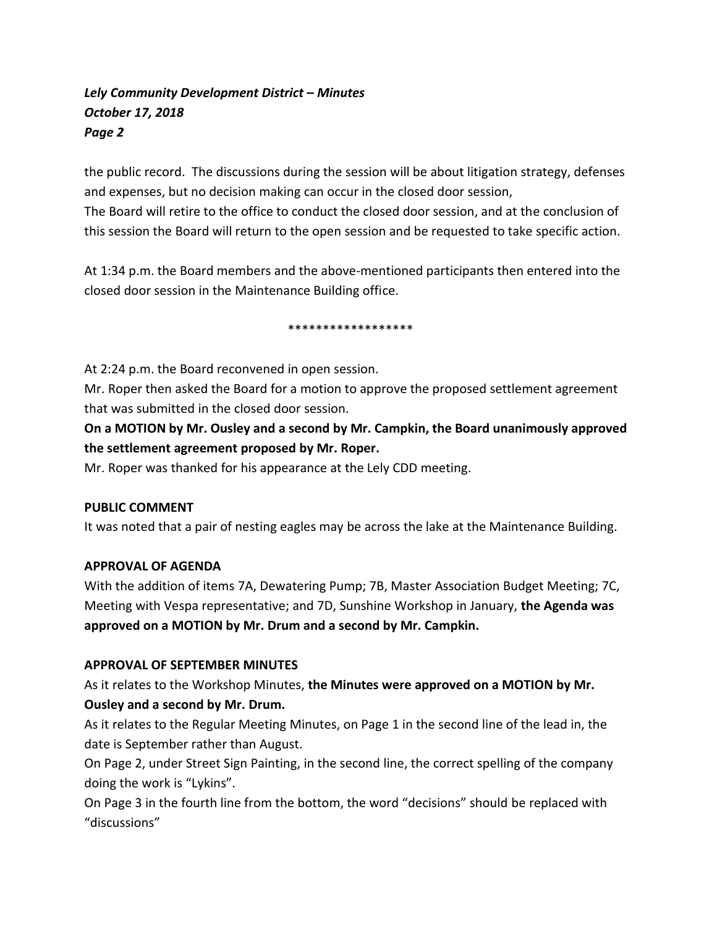the public record. The discussions during the session will be about litigation strategy, defenses and expenses, but no decision making can occur in the closed door session,

The Board will retire to the office to conduct the closed door session, and at the conclusion of this session the Board will return to the open session and be requested to take specific action.

At 1:34 p.m. the Board members and the above-mentioned participants then entered into the closed door session in the Maintenance Building office.

#### \*\*\*\*\*\*\*\*\*\*\*\*\*\*\*\*\*\*

At 2:24 p.m. the Board reconvened in open session.

Mr. Roper then asked the Board for a motion to approve the proposed settlement agreement that was submitted in the closed door session.

**On a MOTION by Mr. Ousley and a second by Mr. Campkin, the Board unanimously approved the settlement agreement proposed by Mr. Roper.** 

Mr. Roper was thanked for his appearance at the Lely CDD meeting.

### **PUBLIC COMMENT**

It was noted that a pair of nesting eagles may be across the lake at the Maintenance Building.

### **APPROVAL OF AGENDA**

With the addition of items 7A, Dewatering Pump; 7B, Master Association Budget Meeting; 7C, Meeting with Vespa representative; and 7D, Sunshine Workshop in January, **the Agenda was approved on a MOTION by Mr. Drum and a second by Mr. Campkin.** 

### **APPROVAL OF SEPTEMBER MINUTES**

As it relates to the Workshop Minutes, **the Minutes were approved on a MOTION by Mr. Ousley and a second by Mr. Drum.** 

As it relates to the Regular Meeting Minutes, on Page 1 in the second line of the lead in, the date is September rather than August.

On Page 2, under Street Sign Painting, in the second line, the correct spelling of the company doing the work is "Lykins".

On Page 3 in the fourth line from the bottom, the word "decisions" should be replaced with "discussions"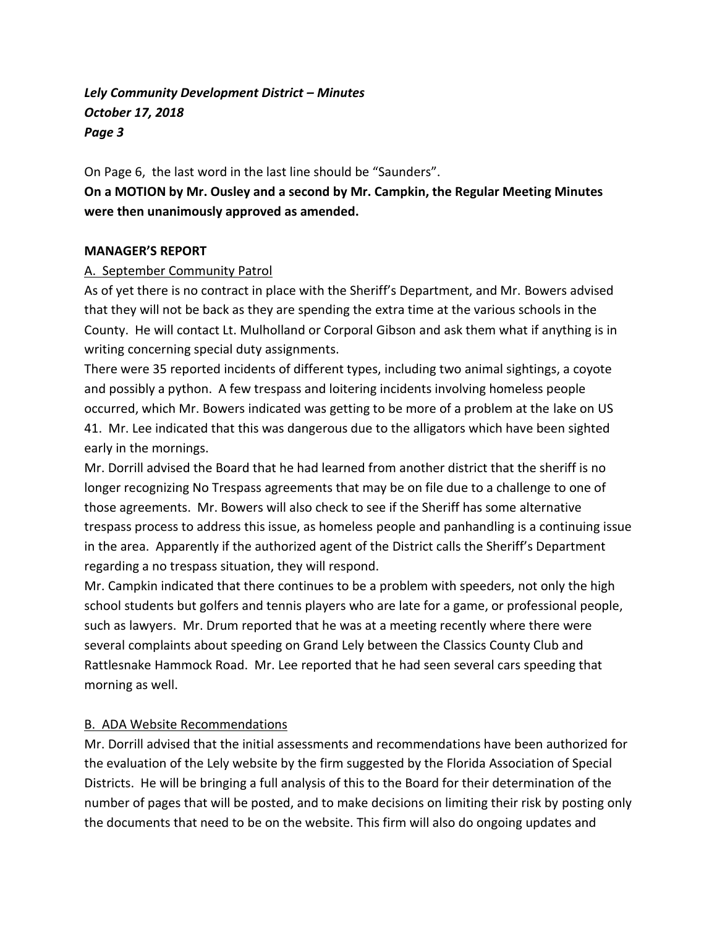On Page 6, the last word in the last line should be "Saunders".

**On a MOTION by Mr. Ousley and a second by Mr. Campkin, the Regular Meeting Minutes were then unanimously approved as amended.** 

#### **MANAGER'S REPORT**

#### A. September Community Patrol

As of yet there is no contract in place with the Sheriff's Department, and Mr. Bowers advised that they will not be back as they are spending the extra time at the various schools in the County. He will contact Lt. Mulholland or Corporal Gibson and ask them what if anything is in writing concerning special duty assignments.

There were 35 reported incidents of different types, including two animal sightings, a coyote and possibly a python. A few trespass and loitering incidents involving homeless people occurred, which Mr. Bowers indicated was getting to be more of a problem at the lake on US 41. Mr. Lee indicated that this was dangerous due to the alligators which have been sighted early in the mornings.

Mr. Dorrill advised the Board that he had learned from another district that the sheriff is no longer recognizing No Trespass agreements that may be on file due to a challenge to one of those agreements. Mr. Bowers will also check to see if the Sheriff has some alternative trespass process to address this issue, as homeless people and panhandling is a continuing issue in the area. Apparently if the authorized agent of the District calls the Sheriff's Department regarding a no trespass situation, they will respond.

Mr. Campkin indicated that there continues to be a problem with speeders, not only the high school students but golfers and tennis players who are late for a game, or professional people, such as lawyers. Mr. Drum reported that he was at a meeting recently where there were several complaints about speeding on Grand Lely between the Classics County Club and Rattlesnake Hammock Road. Mr. Lee reported that he had seen several cars speeding that morning as well.

### B. ADA Website Recommendations

Mr. Dorrill advised that the initial assessments and recommendations have been authorized for the evaluation of the Lely website by the firm suggested by the Florida Association of Special Districts. He will be bringing a full analysis of this to the Board for their determination of the number of pages that will be posted, and to make decisions on limiting their risk by posting only the documents that need to be on the website. This firm will also do ongoing updates and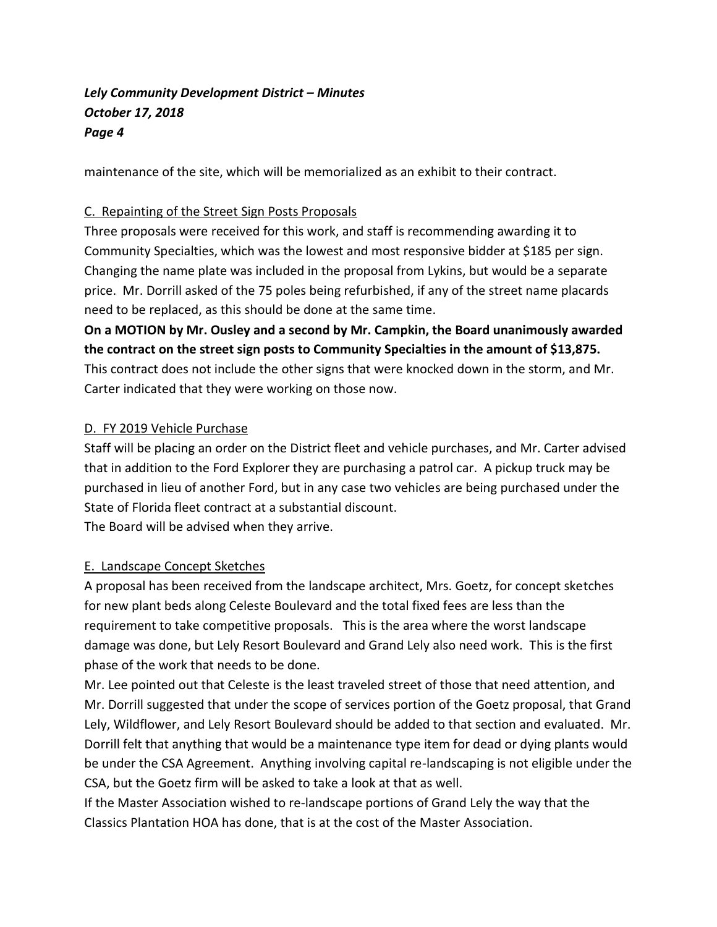maintenance of the site, which will be memorialized as an exhibit to their contract.

### C. Repainting of the Street Sign Posts Proposals

Three proposals were received for this work, and staff is recommending awarding it to Community Specialties, which was the lowest and most responsive bidder at \$185 per sign. Changing the name plate was included in the proposal from Lykins, but would be a separate price. Mr. Dorrill asked of the 75 poles being refurbished, if any of the street name placards need to be replaced, as this should be done at the same time.

**On a MOTION by Mr. Ousley and a second by Mr. Campkin, the Board unanimously awarded the contract on the street sign posts to Community Specialties in the amount of \$13,875.**  This contract does not include the other signs that were knocked down in the storm, and Mr. Carter indicated that they were working on those now.

### D. FY 2019 Vehicle Purchase

Staff will be placing an order on the District fleet and vehicle purchases, and Mr. Carter advised that in addition to the Ford Explorer they are purchasing a patrol car. A pickup truck may be purchased in lieu of another Ford, but in any case two vehicles are being purchased under the State of Florida fleet contract at a substantial discount.

The Board will be advised when they arrive.

### E. Landscape Concept Sketches

A proposal has been received from the landscape architect, Mrs. Goetz, for concept sketches for new plant beds along Celeste Boulevard and the total fixed fees are less than the requirement to take competitive proposals. This is the area where the worst landscape damage was done, but Lely Resort Boulevard and Grand Lely also need work. This is the first phase of the work that needs to be done.

Mr. Lee pointed out that Celeste is the least traveled street of those that need attention, and Mr. Dorrill suggested that under the scope of services portion of the Goetz proposal, that Grand Lely, Wildflower, and Lely Resort Boulevard should be added to that section and evaluated. Mr. Dorrill felt that anything that would be a maintenance type item for dead or dying plants would be under the CSA Agreement. Anything involving capital re-landscaping is not eligible under the CSA, but the Goetz firm will be asked to take a look at that as well.

If the Master Association wished to re-landscape portions of Grand Lely the way that the Classics Plantation HOA has done, that is at the cost of the Master Association.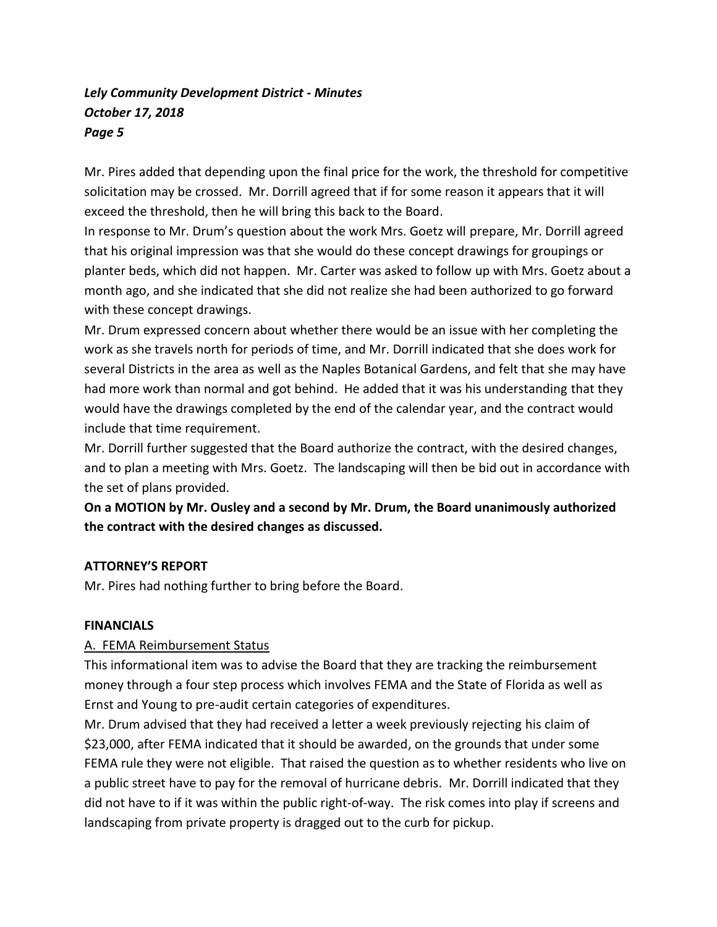Mr. Pires added that depending upon the final price for the work, the threshold for competitive solicitation may be crossed. Mr. Dorrill agreed that if for some reason it appears that it will exceed the threshold, then he will bring this back to the Board.

In response to Mr. Drum's question about the work Mrs. Goetz will prepare, Mr. Dorrill agreed that his original impression was that she would do these concept drawings for groupings or planter beds, which did not happen. Mr. Carter was asked to follow up with Mrs. Goetz about a month ago, and she indicated that she did not realize she had been authorized to go forward with these concept drawings.

Mr. Drum expressed concern about whether there would be an issue with her completing the work as she travels north for periods of time, and Mr. Dorrill indicated that she does work for several Districts in the area as well as the Naples Botanical Gardens, and felt that she may have had more work than normal and got behind. He added that it was his understanding that they would have the drawings completed by the end of the calendar year, and the contract would include that time requirement.

Mr. Dorrill further suggested that the Board authorize the contract, with the desired changes, and to plan a meeting with Mrs. Goetz. The landscaping will then be bid out in accordance with the set of plans provided.

**On a MOTION by Mr. Ousley and a second by Mr. Drum, the Board unanimously authorized the contract with the desired changes as discussed.**

### **ATTORNEY'S REPORT**

Mr. Pires had nothing further to bring before the Board.

### **FINANCIALS**

### A. FEMA Reimbursement Status

This informational item was to advise the Board that they are tracking the reimbursement money through a four step process which involves FEMA and the State of Florida as well as Ernst and Young to pre-audit certain categories of expenditures.

Mr. Drum advised that they had received a letter a week previously rejecting his claim of \$23,000, after FEMA indicated that it should be awarded, on the grounds that under some FEMA rule they were not eligible. That raised the question as to whether residents who live on a public street have to pay for the removal of hurricane debris. Mr. Dorrill indicated that they did not have to if it was within the public right-of-way. The risk comes into play if screens and landscaping from private property is dragged out to the curb for pickup.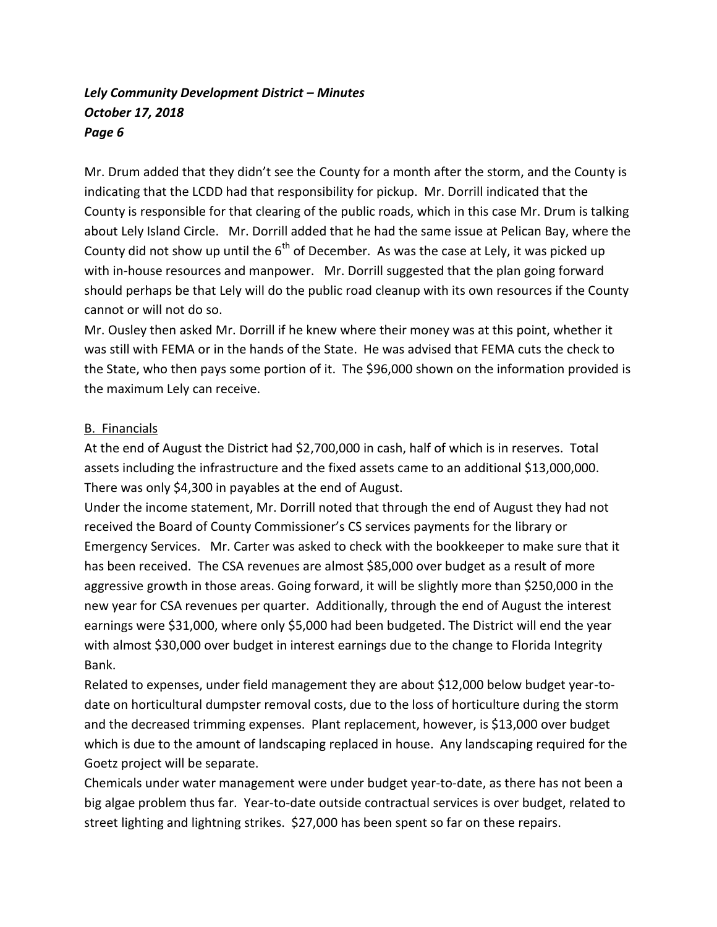Mr. Drum added that they didn't see the County for a month after the storm, and the County is indicating that the LCDD had that responsibility for pickup. Mr. Dorrill indicated that the County is responsible for that clearing of the public roads, which in this case Mr. Drum is talking about Lely Island Circle. Mr. Dorrill added that he had the same issue at Pelican Bay, where the County did not show up until the  $6<sup>th</sup>$  of December. As was the case at Lely, it was picked up with in-house resources and manpower. Mr. Dorrill suggested that the plan going forward should perhaps be that Lely will do the public road cleanup with its own resources if the County cannot or will not do so.

Mr. Ousley then asked Mr. Dorrill if he knew where their money was at this point, whether it was still with FEMA or in the hands of the State. He was advised that FEMA cuts the check to the State, who then pays some portion of it. The \$96,000 shown on the information provided is the maximum Lely can receive.

### B. Financials

At the end of August the District had \$2,700,000 in cash, half of which is in reserves. Total assets including the infrastructure and the fixed assets came to an additional \$13,000,000. There was only \$4,300 in payables at the end of August.

Under the income statement, Mr. Dorrill noted that through the end of August they had not received the Board of County Commissioner's CS services payments for the library or Emergency Services. Mr. Carter was asked to check with the bookkeeper to make sure that it has been received. The CSA revenues are almost \$85,000 over budget as a result of more aggressive growth in those areas. Going forward, it will be slightly more than \$250,000 in the new year for CSA revenues per quarter. Additionally, through the end of August the interest earnings were \$31,000, where only \$5,000 had been budgeted. The District will end the year with almost \$30,000 over budget in interest earnings due to the change to Florida Integrity Bank.

Related to expenses, under field management they are about \$12,000 below budget year-todate on horticultural dumpster removal costs, due to the loss of horticulture during the storm and the decreased trimming expenses. Plant replacement, however, is \$13,000 over budget which is due to the amount of landscaping replaced in house. Any landscaping required for the Goetz project will be separate.

Chemicals under water management were under budget year-to-date, as there has not been a big algae problem thus far. Year-to-date outside contractual services is over budget, related to street lighting and lightning strikes. \$27,000 has been spent so far on these repairs.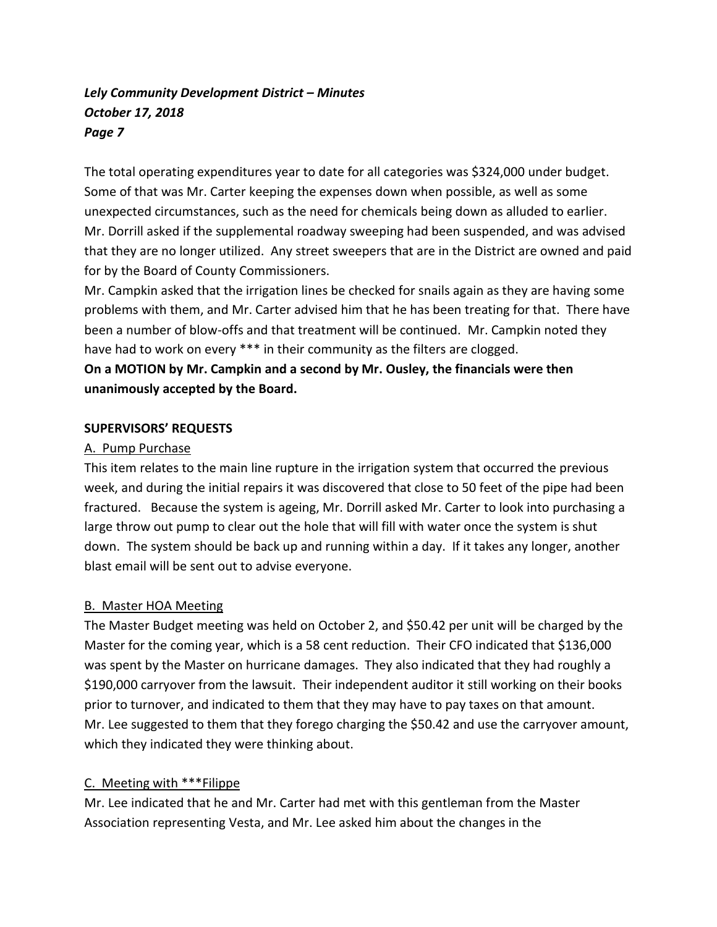The total operating expenditures year to date for all categories was \$324,000 under budget. Some of that was Mr. Carter keeping the expenses down when possible, as well as some unexpected circumstances, such as the need for chemicals being down as alluded to earlier. Mr. Dorrill asked if the supplemental roadway sweeping had been suspended, and was advised that they are no longer utilized. Any street sweepers that are in the District are owned and paid for by the Board of County Commissioners.

Mr. Campkin asked that the irrigation lines be checked for snails again as they are having some problems with them, and Mr. Carter advised him that he has been treating for that. There have been a number of blow-offs and that treatment will be continued. Mr. Campkin noted they have had to work on every \*\*\* in their community as the filters are clogged.

### **On a MOTION by Mr. Campkin and a second by Mr. Ousley, the financials were then unanimously accepted by the Board.**

### **SUPERVISORS' REQUESTS**

### A. Pump Purchase

This item relates to the main line rupture in the irrigation system that occurred the previous week, and during the initial repairs it was discovered that close to 50 feet of the pipe had been fractured. Because the system is ageing, Mr. Dorrill asked Mr. Carter to look into purchasing a large throw out pump to clear out the hole that will fill with water once the system is shut down. The system should be back up and running within a day. If it takes any longer, another blast email will be sent out to advise everyone.

### B. Master HOA Meeting

The Master Budget meeting was held on October 2, and \$50.42 per unit will be charged by the Master for the coming year, which is a 58 cent reduction. Their CFO indicated that \$136,000 was spent by the Master on hurricane damages. They also indicated that they had roughly a \$190,000 carryover from the lawsuit. Their independent auditor it still working on their books prior to turnover, and indicated to them that they may have to pay taxes on that amount. Mr. Lee suggested to them that they forego charging the \$50.42 and use the carryover amount, which they indicated they were thinking about.

### C. Meeting with \*\*\*Filippe

Mr. Lee indicated that he and Mr. Carter had met with this gentleman from the Master Association representing Vesta, and Mr. Lee asked him about the changes in the